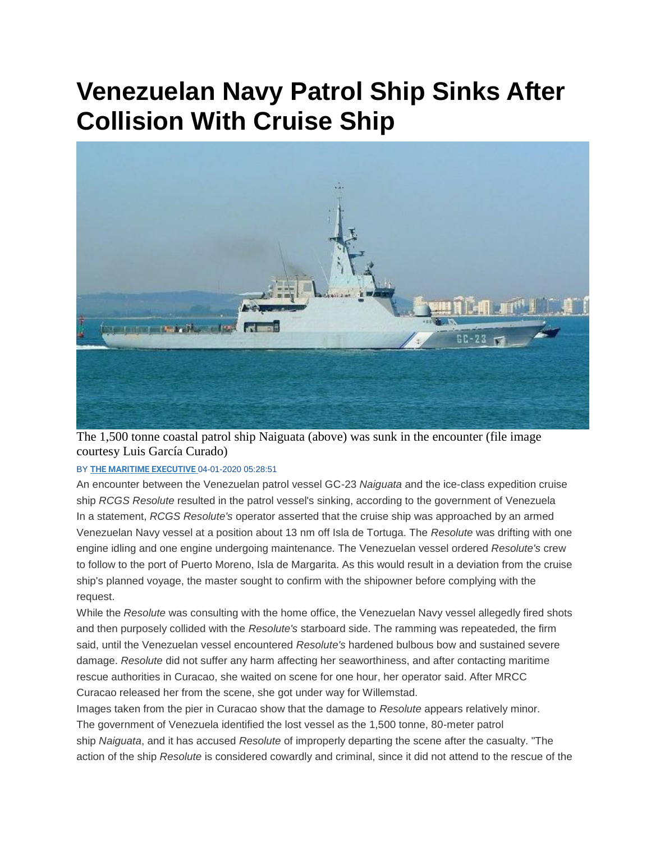## **Venezuelan Navy Patrol Ship Sinks After Collision With Cruise Ship**



The 1,500 tonne coastal patrol ship Naiguata (above) was sunk in the encounter (file image courtesy Luis García Curado)

## BY **[THE MARITIME EXECUTIVE](https://www.maritime-executive.com/author/marex)** 04-01-2020 05:28:51

An encounter between the Venezuelan patrol vessel GC-23 *Naiguata* and the ice-class expedition cruise ship *RCGS Resolute* resulted in the patrol vessel's sinking, according to the government of Venezuela In a statement, *RCGS Resolute's* operator asserted that the cruise ship was approached by an armed Venezuelan Navy vessel at a position about 13 nm off Isla de Tortuga. The *Resolute* was drifting with one engine idling and one engine undergoing maintenance. The Venezuelan vessel ordered *Resolute's* crew to follow to the port of Puerto Moreno, Isla de Margarita. As this would result in a deviation from the cruise ship's planned voyage, the master sought to confirm with the shipowner before complying with the request.

While the *Resolute* was consulting with the home office, the Venezuelan Navy vessel allegedly fired shots and then purposely collided with the *Resolute's* starboard side. The ramming was repeateded, the firm said, until the Venezuelan vessel encountered *Resolute's* hardened bulbous bow and sustained severe damage. *Resolute* did not suffer any harm affecting her seaworthiness, and after contacting maritime rescue authorities in Curacao, she waited on scene for one hour, her operator said. After MRCC Curacao released her from the scene, she got under way for Willemstad.

Images taken from the pier in Curacao show that the damage to *Resolute* appears relatively minor. The government of Venezuela identified the lost vessel as the 1,500 tonne, 80-meter patrol ship *Naiguata*, and it has accused *Resolute* of improperly departing the scene after the casualty. "The action of the ship *Resolute* is considered cowardly and criminal, since it did not attend to the rescue of the